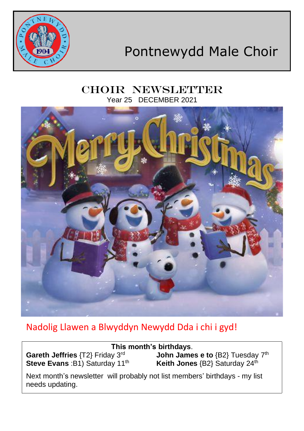

# Pontnewydd Male Choir

## CHOIR NEWSLETTER Year 25 DECEMBER 2021



# Nadolig Llawen a Blwyddyn Newydd Dda i chi i gyd!

| This month's birthdays.                                                     |                                                                                 |
|-----------------------------------------------------------------------------|---------------------------------------------------------------------------------|
| Gareth Jeffries {T2} Friday 3rd<br>Steve Evans : B1) Saturday 11th          | <b>John James e to</b> $\{B2\}$ Tuesday $7th$<br>Keith Jones {B2} Saturday 24th |
| Next month's newsletter will probably not list members' birthdays - my list |                                                                                 |

needs updating.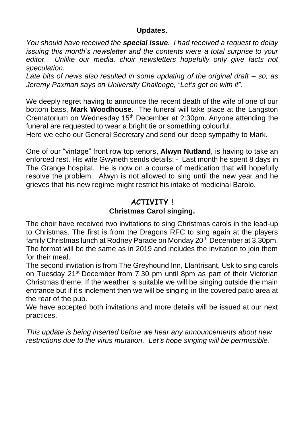#### **Updates.**

*You should have received the special issue. I had received a request to delay issuing this month's newsletter and the contents were a total surprise to your editor. Unlike our media, choir newsletters hopefully only give facts not speculation.*

*Late bits of news also resulted in some updating of the original draft – so, as Jeremy Paxman says on University Challenge, "Let's get on with it".*

We deeply regret having to announce the recent death of the wife of one of our bottom bass, **Mark Woodhouse**. The funeral will take place at the Langston Crematorium on Wednesday 15<sup>th</sup> December at 2:30pm. Anyone attending the funeral are requested to wear a bright tie or something colourful.

Here we echo our General Secretary and send our deep sympathy to Mark.

One of our "vintage" front row top tenors, **Alwyn Nutland**, is having to take an enforced rest. His wife Gwyneth sends details: - Last month he spent 8 days in The Grange hospital. He is now on a course of medication that will hopefully resolve the problem. Alwyn is not allowed to sing until the new year and he grieves that his new regime might restrict his intake of medicinal Barolo.

### **ACTIVITY ! Christmas Carol singing.**

The choir have received two invitations to sing Christmas carols in the lead-up to Christmas. The first is from the Dragons RFC to sing again at the players family Christmas lunch at Rodney Parade on Monday 20<sup>th</sup> December at 3.30pm. The format will be the same as in 2019 and includes the invitation to join them for their meal.

The second invitation is from The Greyhound Inn, Llantrisant, Usk to sing carols on Tuesday 21<sup>st</sup> December from 7.30 pm until 8pm as part of their Victorian Christmas theme. If the weather is suitable we will be singing outside the main entrance but if it's inclement then we will be singing in the covered patio area at the rear of the pub.

We have accepted both invitations and more details will be issued at our next practices.

*This update is being inserted before we hear any announcements about new restrictions due to the virus mutation. Let's hope singing will be permissible.*